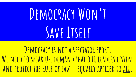### DEMOCRACY WON'T **Save Itself**

**Democracy is not a spectator sport.**  WE NEED TO SPEAK UP, DEMAND THAT OUR LEADERS LISTEN, **and protect the rule of law – equally applied to all.**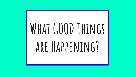# **What GOOD Things are Happening?**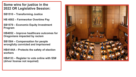**Some wins for justice in the 2022 OR Legislative Session:**

**SB1510 – Transforming Justice**

**HB 4002 – Farmworker Overtime Pay**

**SB1579 – Economic Equity Investment Program**

**HB4052 – Improve healthcare outcomes for Oregonians impacted by racism**

**SB1584 – Compensation for people wrongfully convicted and imprisoned**

**HB4144A – Protects the safety of election workers**

**HB4133 – Register to vote online with SS# (driver license not required)**

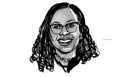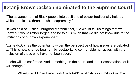#### **Ketanji Brown Jackson nominated to the Supreme Court!**

"The advancement of Black people into positions of power traditionally held by white people is a threat to white supremacy."

"It was said of Justice Thurgood Marshall that, 'He would tell us things that we knew but would rather forget; and he told us much that we did not know due to the limitations of our own experience.'"

"...she (KBJ) has the potential to widen the perspective of how issues are debated. … This is how change begins – by destabilizing comfortable narratives, with the inclusion of those who have not been seen."

"…she will be confirmed. And something on the court, and in our expectations of it, will change."

-Sherrilyn A. Ifill, Director-Counsel of the NAACP Legal Defense and Educational Fund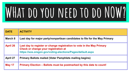## **WHat do you need to do NOW?**

| <b>DATE</b>     | <b>ACTIVITY</b>                                                                                                                                                              |
|-----------------|------------------------------------------------------------------------------------------------------------------------------------------------------------------------------|
| March 8         | Last day for major party/nonpartisan candidates to file for the May Primary                                                                                                  |
| <b>April 26</b> | Last day to register or change registration to vote in the May Primary<br>Check or change your registration at<br>https://sos.oregon.gov/voting-elections/Pages/default.aspx |
| <b>April 27</b> | <b>Primary Ballots mailed (Voter Pamphlets mailing begins)</b>                                                                                                               |
| <b>May 17</b>   | Primary Election – Ballots must be postmarked by this date to count!                                                                                                         |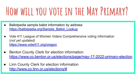### **How will you vote in the May Primary?**

- Ballotpedia sample ballot information by address [https://ballotpedia.org/Sample\\_Ballot\\_Lookup](https://ballotpedia.org/Sample_Ballot_Lookup)
- Vote 411 League of Women Voters Comprehensive voting information (*not yet updated)* <https://www.vote411.org/oregon>
- **Benton County Clerk for election information** <https://www.co.benton.or.us/elections/page/may-17-2022-primary-election>
- Linn County Clerk for election information <http://www.co.linn.or.us/elections/#>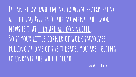**It can be overwhelming to witness/experience all the injustices of the moment; the good news is that They are all connected. So if your little corner of work involves pulling at one of the threads, you are helping to unravel the whole cloth.**

**-Ursula Wolfe-Rocca**